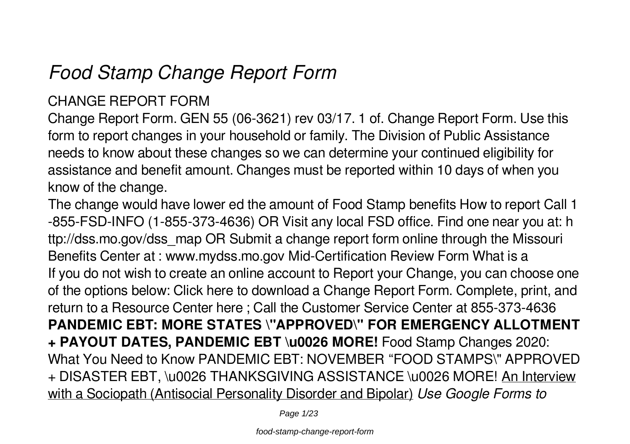# *Food Stamp Change Report Form*

### CHANGE REPORT FORM

Change Report Form. GEN 55 (06-3621) rev 03/17. 1 of. Change Report Form. Use this form to report changes in your household or family. The Division of Public Assistance needs to know about these changes so we can determine your continued eligibility for assistance and benefit amount. Changes must be reported within 10 days of when you know of the change.

The change would have lower ed the amount of Food Stamp benefits How to report Call 1 -855-FSD-INFO (1-855-373-4636) OR Visit any local FSD office. Find one near you at: h ttp://dss.mo.gov/dss\_map OR Submit a change report form online through the Missouri Benefits Center at : www.mydss.mo.gov Mid-Certification Review Form What is a If you do not wish to create an online account to Report your Change, you can choose one of the options below: Click here to download a Change Report Form. Complete, print, and return to a Resource Center here ; Call the Customer Service Center at 855-373-4636 **PANDEMIC EBT: MORE STATES \"APPROVED\" FOR EMERGENCY ALLOTMENT + PAYOUT DATES, PANDEMIC EBT \u0026 MORE!** Food Stamp Changes 2020: What You Need to Know PANDEMIC EBT: NOVEMBER "FOOD STAMPS\" APPROVED + DISASTER EBT, \u0026 THANKSGIVING ASSISTANCE \u0026 MORE! An Interview with a Sociopath (Antisocial Personality Disorder and Bipolar) *Use Google Forms to*

Page 1/23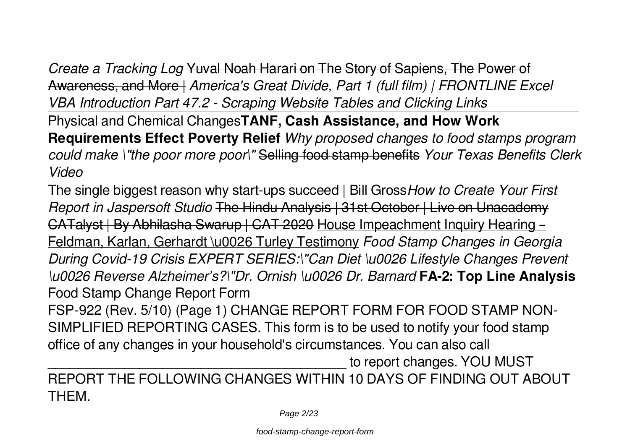*Create a Tracking Log* Yuval Noah Harari on The Story of Sapiens, The Power of Awareness, and More | *America's Great Divide, Part 1 (full film) | FRONTLINE Excel VBA Introduction Part 47.2 - Scraping Website Tables and Clicking Links* Physical and Chemical Changes**TANF, Cash Assistance, and How Work Requirements Effect Poverty Relief** *Why proposed changes to food stamps program could make \"the poor more poor\"* Selling food stamp benefits *Your Texas Benefits Clerk Video*

The single biggest reason why start-ups succeed | Bill Gross*How to Create Your First Report in Jaspersoft Studio* The Hindu Analysis | 31st October | Live on Unacademy CATalyst | By Abhilasha Swarup | CAT 2020 House Impeachment Inquiry Hearing – Feldman, Karlan, Gerhardt \u0026 Turley Testimony *Food Stamp Changes in Georgia During Covid-19 Crisis EXPERT SERIES:\"Can Diet \u0026 Lifestyle Changes Prevent \u0026 Reverse Alzheimer's?\"Dr. Ornish \u0026 Dr. Barnard* **FA-2: Top Line Analysis** Food Stamp Change Report Form

FSP-922 (Rev. 5/10) (Page 1) CHANGE REPORT FORM FOR FOOD STAMP NON-SIMPLIFIED REPORTING CASES. This form is to be used to notify your food stamp office of any changes in your household's circumstances. You can also call

to report changes. YOU MUST

REPORT THE FOLLOWING CHANGES WITHIN 10 DAYS OF FINDING OUT ABOUT **THEM**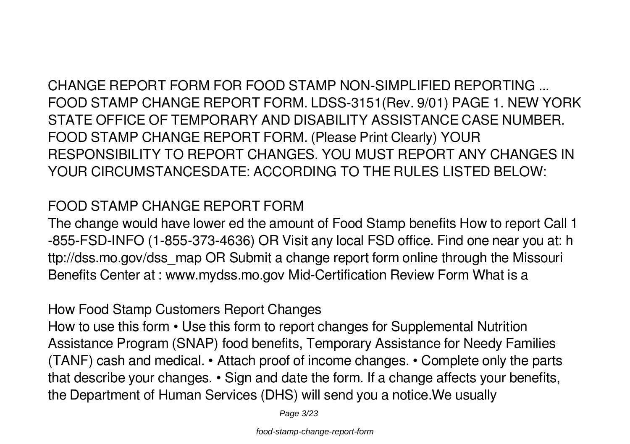CHANGE REPORT FORM FOR FOOD STAMP NON-SIMPLIFIED REPORTING ... FOOD STAMP CHANGE REPORT FORM. LDSS-3151(Rev. 9/01) PAGE 1. NEW YORK STATE OFFICE OF TEMPORARY AND DISABILITY ASSISTANCE CASE NUMBER. FOOD STAMP CHANGE REPORT FORM. (Please Print Clearly) YOUR RESPONSIBILITY TO REPORT CHANGES. YOU MUST REPORT ANY CHANGES IN YOUR CIRCUMSTANCESDATE: ACCORDING TO THE RULES LISTED BELOW:

#### FOOD STAMP CHANGE REPORT FORM

The change would have lower ed the amount of Food Stamp benefits How to report Call 1 -855-FSD-INFO (1-855-373-4636) OR Visit any local FSD office. Find one near you at: h ttp://dss.mo.gov/dss\_map OR Submit a change report form online through the Missouri Benefits Center at : www.mydss.mo.gov Mid-Certification Review Form What is a

#### How Food Stamp Customers Report Changes

How to use this form • Use this form to report changes for Supplemental Nutrition Assistance Program (SNAP) food benefits, Temporary Assistance for Needy Families (TANF) cash and medical. • Attach proof of income changes. • Complete only the parts that describe your changes. • Sign and date the form. If a change affects your benefits, the Department of Human Services (DHS) will send you a notice.We usually

Page 3/23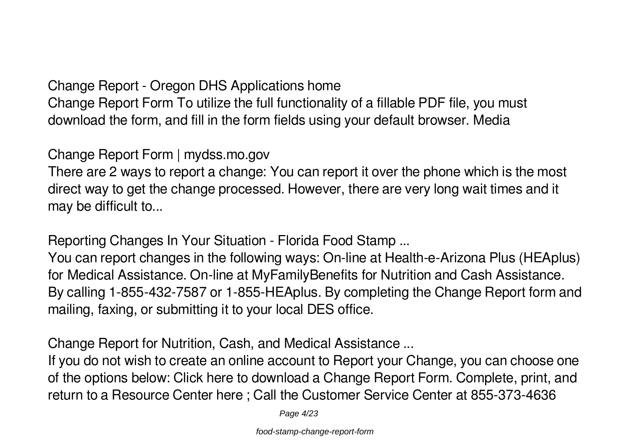Change Report - Oregon DHS Applications home Change Report Form To utilize the full functionality of a fillable PDF file, you must download the form, and fill in the form fields using your default browser. Media

Change Report Form | mydss.mo.gov

There are 2 ways to report a change: You can report it over the phone which is the most direct way to get the change processed. However, there are very long wait times and it may be difficult to...

Reporting Changes In Your Situation - Florida Food Stamp ...

You can report changes in the following ways: On-line at Health-e-Arizona Plus (HEAplus) for Medical Assistance. On-line at MyFamilyBenefits for Nutrition and Cash Assistance. By calling 1-855-432-7587 or 1-855-HEAplus. By completing the Change Report form and mailing, faxing, or submitting it to your local DES office.

Change Report for Nutrition, Cash, and Medical Assistance ...

If you do not wish to create an online account to Report your Change, you can choose one of the options below: Click here to download a Change Report Form. Complete, print, and return to a Resource Center here ; Call the Customer Service Center at 855-373-4636

Page 4/23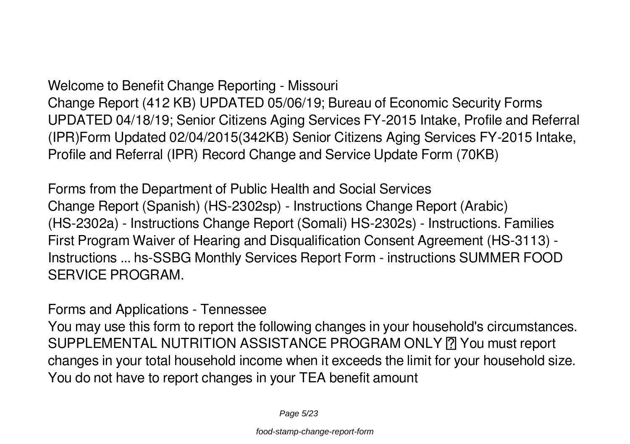Welcome to Benefit Change Reporting - Missouri Change Report (412 KB) UPDATED 05/06/19; Bureau of Economic Security Forms UPDATED 04/18/19; Senior Citizens Aging Services FY-2015 Intake, Profile and Referral (IPR)Form Updated 02/04/2015(342KB) Senior Citizens Aging Services FY-2015 Intake, Profile and Referral (IPR) Record Change and Service Update Form (70KB)

Forms from the Department of Public Health and Social Services Change Report (Spanish) (HS-2302sp) - Instructions Change Report (Arabic) (HS-2302a) - Instructions Change Report (Somali) HS-2302s) - Instructions. Families First Program Waiver of Hearing and Disqualification Consent Agreement (HS-3113) - Instructions ... hs-SSBG Monthly Services Report Form - instructions SUMMER FOOD SERVICE PROGRAM.

Forms and Applications - Tennessee

You may use this form to report the following changes in your household's circumstances. SUPPLEMENTAL NUTRITION ASSISTANCE PROGRAM ONLY **[7]** You must report changes in your total household income when it exceeds the limit for your household size. You do not have to report changes in your TEA benefit amount

Page 5/23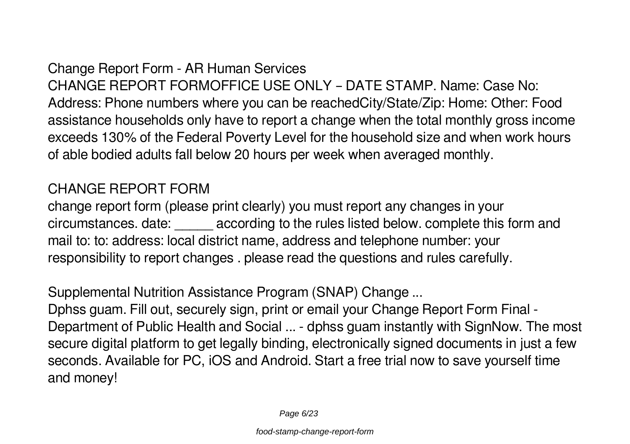Change Report Form - AR Human Services CHANGE REPORT FORMOFFICE USE ONLY – DATE STAMP. Name: Case No: Address: Phone numbers where you can be reachedCity/State/Zip: Home: Other: Food assistance households only have to report a change when the total monthly gross income exceeds 130% of the Federal Poverty Level for the household size and when work hours of able bodied adults fall below 20 hours per week when averaged monthly.

#### CHANGE REPORT FORM

change report form (please print clearly) you must report any changes in your circumstances. date: \_\_\_\_\_ according to the rules listed below. complete this form and mail to: to: address: local district name, address and telephone number: your responsibility to report changes . please read the questions and rules carefully.

Supplemental Nutrition Assistance Program (SNAP) Change ...

Dphss guam. Fill out, securely sign, print or email your Change Report Form Final - Department of Public Health and Social ... - dphss guam instantly with SignNow. The most secure digital platform to get legally binding, electronically signed documents in just a few seconds. Available for PC, iOS and Android. Start a free trial now to save yourself time and money!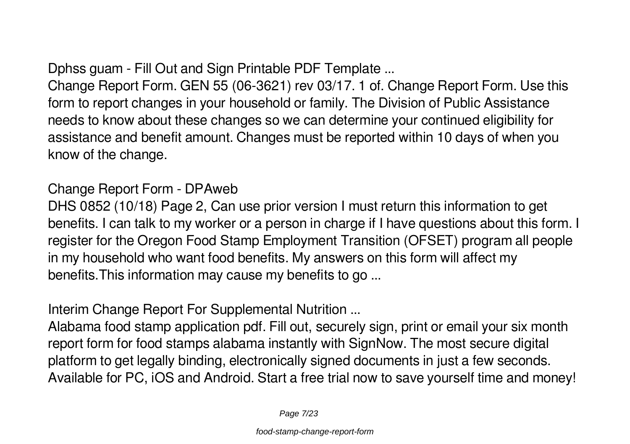Dphss guam - Fill Out and Sign Printable PDF Template ...

Change Report Form. GEN 55 (06-3621) rev 03/17. 1 of. Change Report Form. Use this form to report changes in your household or family. The Division of Public Assistance needs to know about these changes so we can determine your continued eligibility for assistance and benefit amount. Changes must be reported within 10 days of when you know of the change.

Change Report Form - DPAweb

DHS 0852 (10/18) Page 2, Can use prior version I must return this information to get benefits. I can talk to my worker or a person in charge if I have questions about this form. I register for the Oregon Food Stamp Employment Transition (OFSET) program all people in my household who want food benefits. My answers on this form will affect my benefits.This information may cause my benefits to go ...

Interim Change Report For Supplemental Nutrition ...

Alabama food stamp application pdf. Fill out, securely sign, print or email your six month report form for food stamps alabama instantly with SignNow. The most secure digital platform to get legally binding, electronically signed documents in just a few seconds. Available for PC, iOS and Android. Start a free trial now to save yourself time and money!

Page 7/23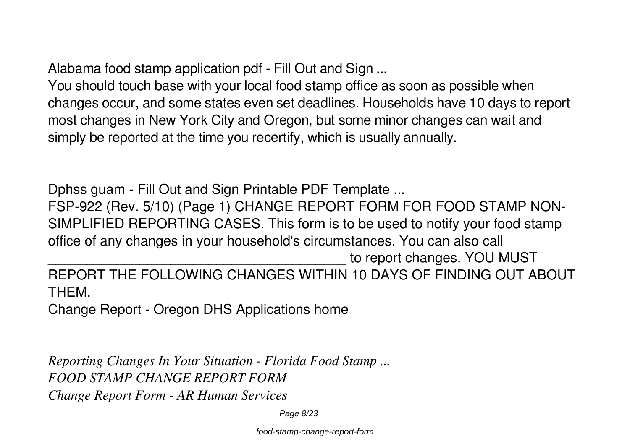Alabama food stamp application pdf - Fill Out and Sign ...

You should touch base with your local food stamp office as soon as possible when changes occur, and some states even set deadlines. Households have 10 days to report most changes in New York City and Oregon, but some minor changes can wait and simply be reported at the time you recertify, which is usually annually.

Dphss guam - Fill Out and Sign Printable PDF Template ... FSP-922 (Rev. 5/10) (Page 1) CHANGE REPORT FORM FOR FOOD STAMP NON-SIMPLIFIED REPORTING CASES. This form is to be used to notify your food stamp office of any changes in your household's circumstances. You can also call to report changes. YOU MUST REPORT THE FOLLOWING CHANGES WITHIN 10 DAYS OF FINDING OUT ABOUT THEM.

Change Report - Oregon DHS Applications home

*Reporting Changes In Your Situation - Florida Food Stamp ... FOOD STAMP CHANGE REPORT FORM Change Report Form - AR Human Services*

Page 8/23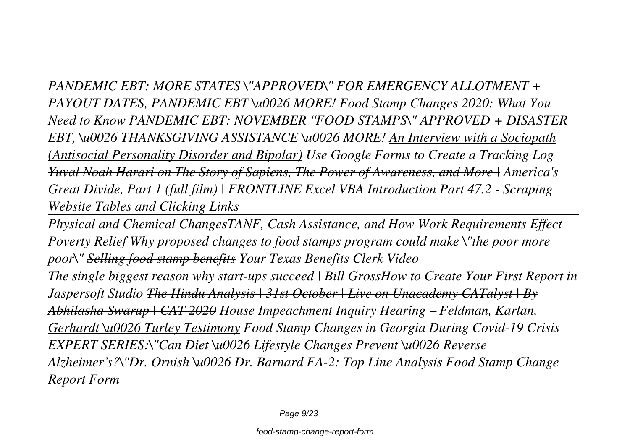*PANDEMIC EBT: MORE STATES \"APPROVED\" FOR EMERGENCY ALLOTMENT + PAYOUT DATES, PANDEMIC EBT \u0026 MORE! Food Stamp Changes 2020: What You Need to Know PANDEMIC EBT: NOVEMBER "FOOD STAMPS\" APPROVED + DISASTER EBT, \u0026 THANKSGIVING ASSISTANCE \u0026 MORE! An Interview with a Sociopath (Antisocial Personality Disorder and Bipolar) Use Google Forms to Create a Tracking Log Yuval Noah Harari on The Story of Sapiens, The Power of Awareness, and More | America's Great Divide, Part 1 (full film) | FRONTLINE Excel VBA Introduction Part 47.2 - Scraping Website Tables and Clicking Links*

*Physical and Chemical ChangesTANF, Cash Assistance, and How Work Requirements Effect Poverty Relief Why proposed changes to food stamps program could make \"the poor more poor\" Selling food stamp benefits Your Texas Benefits Clerk Video*

*The single biggest reason why start-ups succeed | Bill GrossHow to Create Your First Report in Jaspersoft Studio The Hindu Analysis | 31st October | Live on Unacademy CATalyst | By Abhilasha Swarup | CAT 2020 House Impeachment Inquiry Hearing – Feldman, Karlan, Gerhardt \u0026 Turley Testimony Food Stamp Changes in Georgia During Covid-19 Crisis EXPERT SERIES:\"Can Diet \u0026 Lifestyle Changes Prevent \u0026 Reverse Alzheimer's?\"Dr. Ornish \u0026 Dr. Barnard FA-2: Top Line Analysis Food Stamp Change Report Form*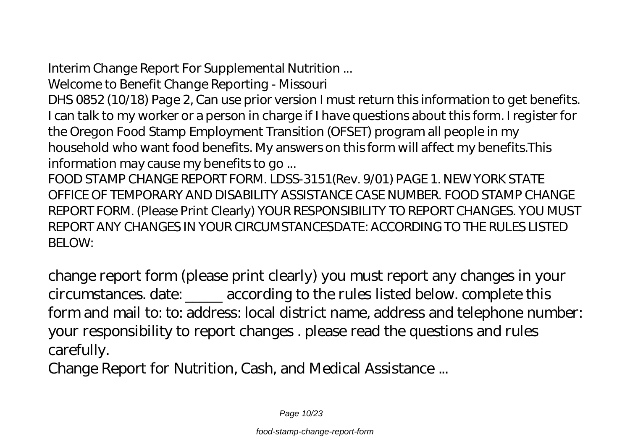Interim Change Report For Supplemental Nutrition ...

Welcome to Benefit Change Reporting - Missouri

DHS 0852 (10/18) Page 2, Can use prior version I must return this information to get benefits. I can talk to my worker or a person in charge if I have questions about this form. I register for the Oregon Food Stamp Employment Transition (OFSET) program all people in my household who want food benefits. My answers on this form will affect my benefits.This information may cause my benefits to go ...

FOOD STAMP CHANGE REPORT FORM. LDSS-3151(Rev. 9/01) PAGE 1. NEW YORK STATE OFFICE OF TEMPORARY AND DISABILITY ASSISTANCE CASE NUMBER. FOOD STAMP CHANGE REPORT FORM. (Please Print Clearly) YOUR RESPONSIBILITY TO REPORT CHANGES. YOU MUST REPORT ANY CHANGES IN YOUR CIRCUMSTANCESDATE: ACCORDING TO THE RULES LISTED BELOW:

change report form (please print clearly) you must report any changes in your circumstances. date: \_\_\_\_\_ according to the rules listed below. complete this form and mail to: to: address: local district name, address and telephone number: your responsibility to report changes . please read the questions and rules carefully.

Change Report for Nutrition, Cash, and Medical Assistance ...

Page 10/23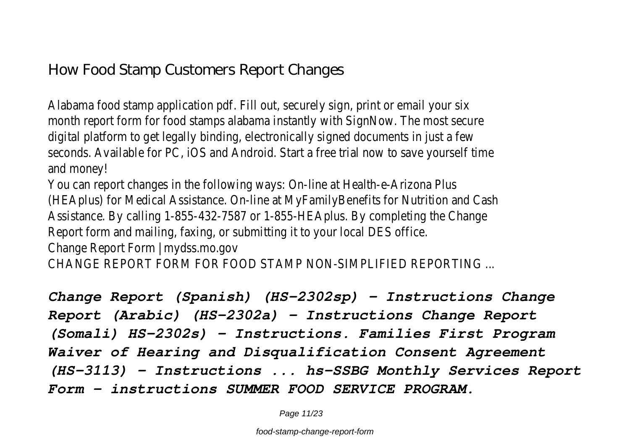Alabama food stamp application pdf. Fill out, securely sign, print or email your six month report form for food stamps alabama instantly with SignNow. The most secure digital platform to get legally binding, electronically signed documents in just a few seconds. Available for PC, iOS and Android. Start a free trial now to save yourself time and money!

You can report changes in the following ways: On-line at Health-e-Arizona Plus (HEAplus) for Medical Assistance. On-line at MyFamilyBenefits for Nutrition and Cash Assistance. By calling 1-855-432-7587 or 1-855-HEAplus. By completing the Change Report form and mailing, faxing, or submitting it to your local DES office. Change Report Form | mydss.mo.gov

CHANGE REPORT FORM FOR FOOD STAMP NON-SIMPLIFIED REPORTING ...

*Change Report (Spanish) (HS-2302sp) - Instructions Change Report (Arabic) (HS-2302a) - Instructions Change Report (Somali) HS-2302s) - Instructions. Families First Program Waiver of Hearing and Disqualification Consent Agreement (HS-3113) - Instructions ... hs-SSBG Monthly Services Report Form - instructions SUMMER FOOD SERVICE PROGRAM.*

Page 11/23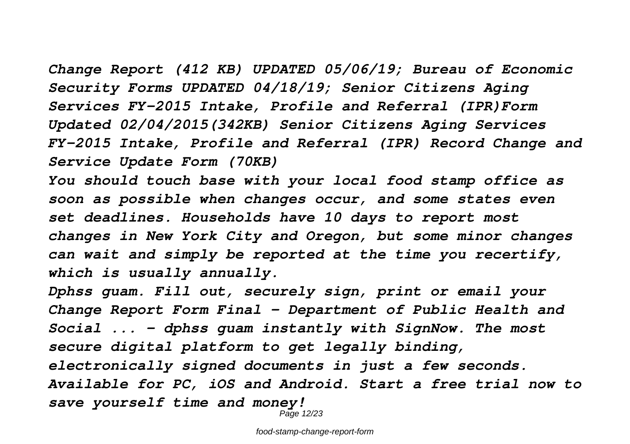*Change Report (412 KB) UPDATED 05/06/19; Bureau of Economic Security Forms UPDATED 04/18/19; Senior Citizens Aging Services FY-2015 Intake, Profile and Referral (IPR)Form Updated 02/04/2015(342KB) Senior Citizens Aging Services FY-2015 Intake, Profile and Referral (IPR) Record Change and Service Update Form (70KB)*

*You should touch base with your local food stamp office as soon as possible when changes occur, and some states even set deadlines. Households have 10 days to report most changes in New York City and Oregon, but some minor changes can wait and simply be reported at the time you recertify, which is usually annually.*

*Dphss guam. Fill out, securely sign, print or email your Change Report Form Final - Department of Public Health and Social ... - dphss guam instantly with SignNow. The most secure digital platform to get legally binding, electronically signed documents in just a few seconds. Available for PC, iOS and Android. Start a free trial now to save yourself time and money!*

Page 12/23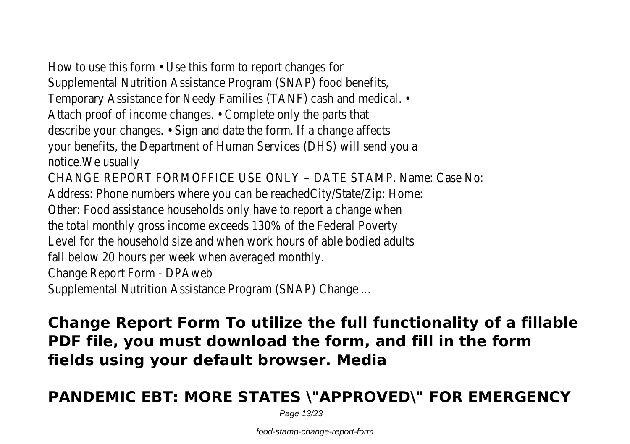How to use this form • Use this form to report changes for Supplemental Nutrition Assistance Program (SNAP) food benefits, Temporary Assistance for Needy Families (TANF) cash and medical. • Attach proof of income changes. • Complete only the parts that describe your changes. • Sign and date the form. If a change affects your benefits, the Department of Human Services (DHS) will send you a notice.We usually

CHANGE REPORT FORMOFFICE USE ONLY – DATE STAMP. Name: Case No: Address: Phone numbers where you can be reachedCity/State/Zip: Home: Other: Food assistance households only have to report a change when the total monthly gross income exceeds 130% of the Federal Poverty Level for the household size and when work hours of able bodied adults fall below 20 hours per week when averaged monthly. Change Report Form - DPAweb

Supplemental Nutrition Assistance Program (SNAP) Change ...

**Change Report Form To utilize the full functionality of a fillable PDF file, you must download the form, and fill in the form fields using your default browser. Media**

## **PANDEMIC EBT: MORE STATES \"APPROVED\" FOR EMERGENCY**

Page 13/23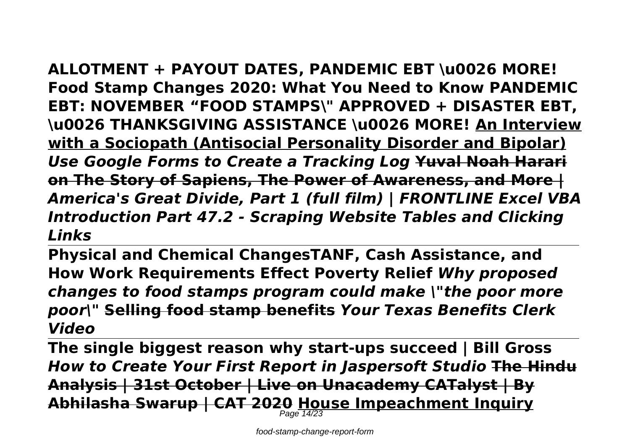**ALLOTMENT + PAYOUT DATES, PANDEMIC EBT \u0026 MORE! Food Stamp Changes 2020: What You Need to Know PANDEMIC EBT: NOVEMBER "FOOD STAMPS\" APPROVED + DISASTER EBT, \u0026 THANKSGIVING ASSISTANCE \u0026 MORE! An Interview with a Sociopath (Antisocial Personality Disorder and Bipolar)** *Use Google Forms to Create a Tracking Log* **Yuval Noah Harari on The Story of Sapiens, The Power of Awareness, and More |** *America's Great Divide, Part 1 (full film) | FRONTLINE Excel VBA Introduction Part 47.2 - Scraping Website Tables and Clicking Links*

**Physical and Chemical ChangesTANF, Cash Assistance, and How Work Requirements Effect Poverty Relief** *Why proposed changes to food stamps program could make \"the poor more poor\"* **Selling food stamp benefits** *Your Texas Benefits Clerk Video*

**The single biggest reason why start-ups succeed | Bill Gross** *How to Create Your First Report in Jaspersoft Studio* **The Hindu Analysis | 31st October | Live on Unacademy CATalyst | By Abhilasha Swarup | CAT 2020 House Impeachment Inquiry** Page 14/23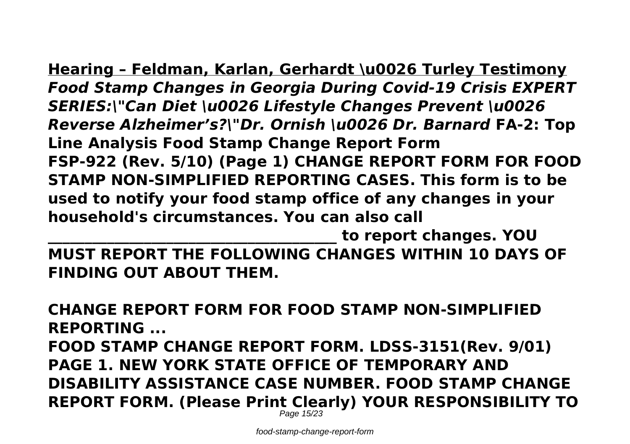**Hearing – Feldman, Karlan, Gerhardt \u0026 Turley Testimony** *Food Stamp Changes in Georgia During Covid-19 Crisis EXPERT SERIES:\"Can Diet \u0026 Lifestyle Changes Prevent \u0026 Reverse Alzheimer's?\"Dr. Ornish \u0026 Dr. Barnard* **FA-2: Top Line Analysis Food Stamp Change Report Form FSP-922 (Rev. 5/10) (Page 1) CHANGE REPORT FORM FOR FOOD STAMP NON-SIMPLIFIED REPORTING CASES. This form is to be used to notify your food stamp office of any changes in your household's circumstances. You can also call**

**\_\_\_\_\_\_\_\_\_\_\_\_\_\_\_\_\_\_\_\_\_\_\_\_\_\_\_\_\_\_\_\_\_\_\_\_\_\_\_ to report changes. YOU MUST REPORT THE FOLLOWING CHANGES WITHIN 10 DAYS OF FINDING OUT ABOUT THEM.**

**CHANGE REPORT FORM FOR FOOD STAMP NON-SIMPLIFIED REPORTING ...**

**FOOD STAMP CHANGE REPORT FORM. LDSS-3151(Rev. 9/01) PAGE 1. NEW YORK STATE OFFICE OF TEMPORARY AND DISABILITY ASSISTANCE CASE NUMBER. FOOD STAMP CHANGE REPORT FORM. (Please Print Clearly) YOUR RESPONSIBILITY TO**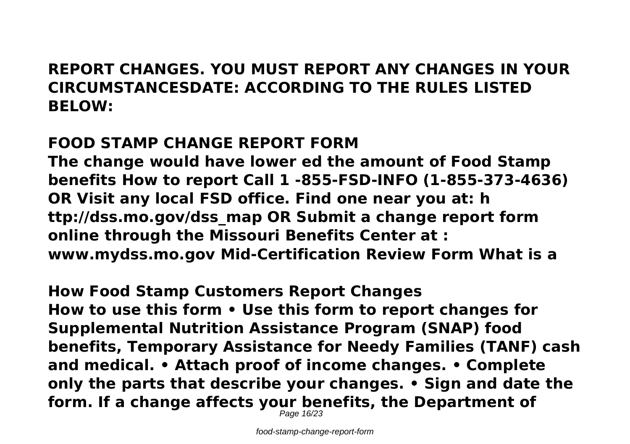## **REPORT CHANGES. YOU MUST REPORT ANY CHANGES IN YOUR CIRCUMSTANCESDATE: ACCORDING TO THE RULES LISTED BELOW:**

## **FOOD STAMP CHANGE REPORT FORM**

**The change would have lower ed the amount of Food Stamp benefits How to report Call 1 -855-FSD-INFO (1-855-373-4636) OR Visit any local FSD office. Find one near you at: h ttp://dss.mo.gov/dss\_map OR Submit a change report form online through the Missouri Benefits Center at : www.mydss.mo.gov Mid-Certification Review Form What is a**

**How Food Stamp Customers Report Changes How to use this form • Use this form to report changes for Supplemental Nutrition Assistance Program (SNAP) food benefits, Temporary Assistance for Needy Families (TANF) cash and medical. • Attach proof of income changes. • Complete only the parts that describe your changes. • Sign and date the form. If a change affects your benefits, the Department of**

Page 16/23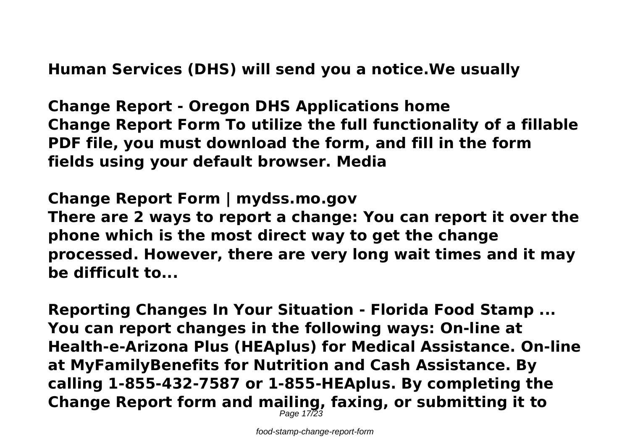**Human Services (DHS) will send you a notice.We usually**

**Change Report - Oregon DHS Applications home Change Report Form To utilize the full functionality of a fillable PDF file, you must download the form, and fill in the form fields using your default browser. Media**

**Change Report Form | mydss.mo.gov**

**There are 2 ways to report a change: You can report it over the phone which is the most direct way to get the change processed. However, there are very long wait times and it may be difficult to...**

**Reporting Changes In Your Situation - Florida Food Stamp ... You can report changes in the following ways: On-line at Health-e-Arizona Plus (HEAplus) for Medical Assistance. On-line at MyFamilyBenefits for Nutrition and Cash Assistance. By calling 1-855-432-7587 or 1-855-HEAplus. By completing the Change Report form and mailing, faxing, or submitting it to** Page  $17\overline{2}3$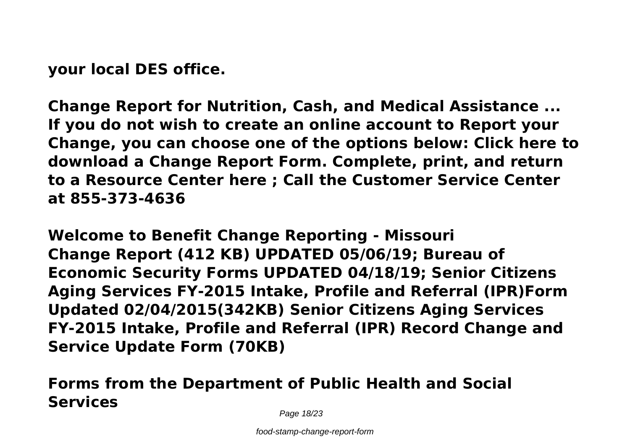**your local DES office.**

**Change Report for Nutrition, Cash, and Medical Assistance ... If you do not wish to create an online account to Report your Change, you can choose one of the options below: Click here to download a Change Report Form. Complete, print, and return to a Resource Center here ; Call the Customer Service Center at 855-373-4636**

**Welcome to Benefit Change Reporting - Missouri Change Report (412 KB) UPDATED 05/06/19; Bureau of Economic Security Forms UPDATED 04/18/19; Senior Citizens Aging Services FY-2015 Intake, Profile and Referral (IPR)Form Updated 02/04/2015(342KB) Senior Citizens Aging Services FY-2015 Intake, Profile and Referral (IPR) Record Change and Service Update Form (70KB)**

## **Forms from the Department of Public Health and Social Services**

Page 18/23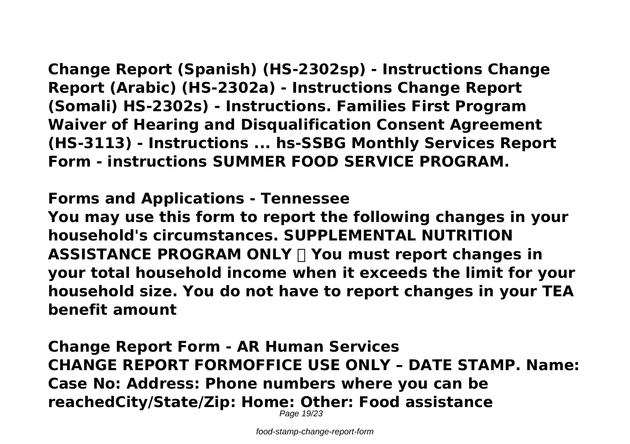**Change Report (Spanish) (HS-2302sp) - Instructions Change Report (Arabic) (HS-2302a) - Instructions Change Report (Somali) HS-2302s) - Instructions. Families First Program Waiver of Hearing and Disqualification Consent Agreement (HS-3113) - Instructions ... hs-SSBG Monthly Services Report Form - instructions SUMMER FOOD SERVICE PROGRAM.**

## **Forms and Applications - Tennessee**

**You may use this form to report the following changes in your household's circumstances. SUPPLEMENTAL NUTRITION ASSISTANCE PROGRAM ONLY You must report changes in your total household income when it exceeds the limit for your household size. You do not have to report changes in your TEA benefit amount**

**Change Report Form - AR Human Services CHANGE REPORT FORMOFFICE USE ONLY – DATE STAMP. Name: Case No: Address: Phone numbers where you can be reachedCity/State/Zip: Home: Other: Food assistance** Page 19/23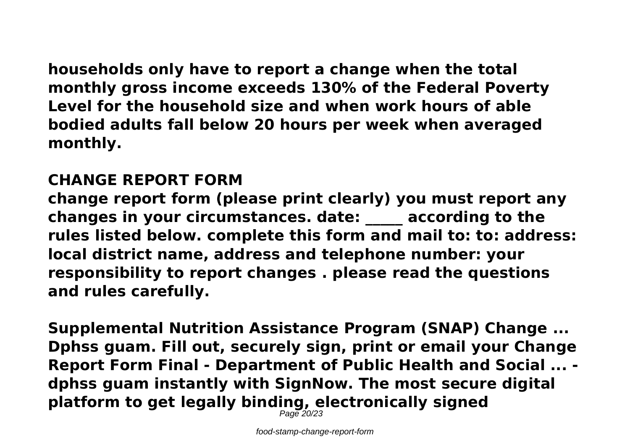**households only have to report a change when the total monthly gross income exceeds 130% of the Federal Poverty Level for the household size and when work hours of able bodied adults fall below 20 hours per week when averaged monthly.**

### **CHANGE REPORT FORM**

**change report form (please print clearly) you must report any changes in your circumstances. date: \_\_\_\_\_ according to the rules listed below. complete this form and mail to: to: address: local district name, address and telephone number: your responsibility to report changes . please read the questions and rules carefully.**

**Supplemental Nutrition Assistance Program (SNAP) Change ... Dphss guam. Fill out, securely sign, print or email your Change Report Form Final - Department of Public Health and Social ... dphss guam instantly with SignNow. The most secure digital platform to get legally binding, electronically signed**

Page 20/23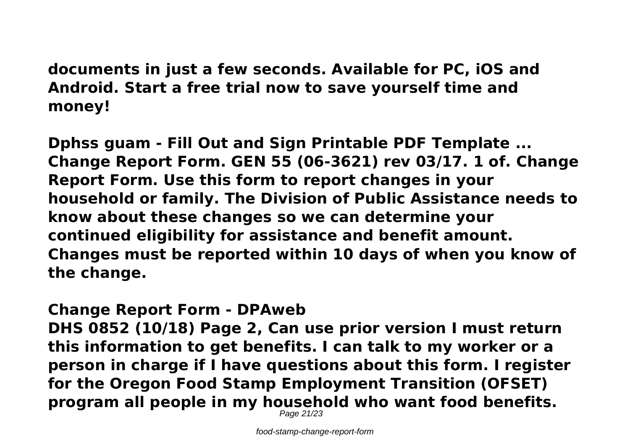**documents in just a few seconds. Available for PC, iOS and Android. Start a free trial now to save yourself time and money!**

**Dphss guam - Fill Out and Sign Printable PDF Template ... Change Report Form. GEN 55 (06-3621) rev 03/17. 1 of. Change Report Form. Use this form to report changes in your household or family. The Division of Public Assistance needs to know about these changes so we can determine your continued eligibility for assistance and benefit amount. Changes must be reported within 10 days of when you know of the change.**

#### **Change Report Form - DPAweb**

**DHS 0852 (10/18) Page 2, Can use prior version I must return this information to get benefits. I can talk to my worker or a person in charge if I have questions about this form. I register for the Oregon Food Stamp Employment Transition (OFSET) program all people in my household who want food benefits.**

Page 21/23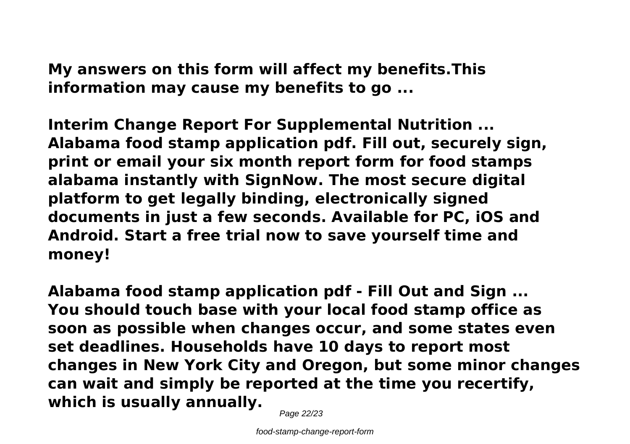**My answers on this form will affect my benefits.This information may cause my benefits to go ...**

**Interim Change Report For Supplemental Nutrition ... Alabama food stamp application pdf. Fill out, securely sign, print or email your six month report form for food stamps alabama instantly with SignNow. The most secure digital platform to get legally binding, electronically signed documents in just a few seconds. Available for PC, iOS and Android. Start a free trial now to save yourself time and money!**

**Alabama food stamp application pdf - Fill Out and Sign ... You should touch base with your local food stamp office as soon as possible when changes occur, and some states even set deadlines. Households have 10 days to report most changes in New York City and Oregon, but some minor changes can wait and simply be reported at the time you recertify, which is usually annually.**

Page 22/23